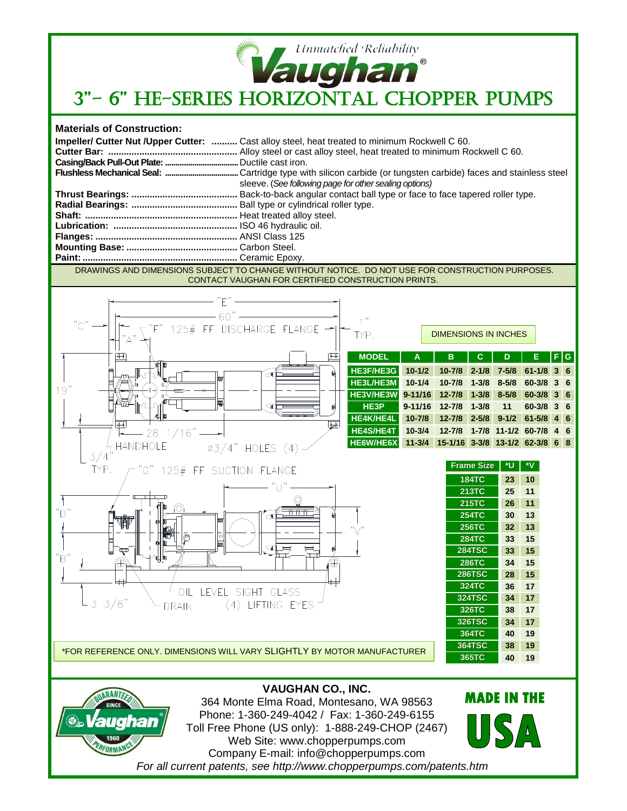

## **Materials of Construction:**

|  | Impeller/ Cutter Nut / Upper Cutter:  Cast alloy steel, heat treated to minimum Rockwell C 60. |
|--|------------------------------------------------------------------------------------------------|
|  |                                                                                                |
|  |                                                                                                |
|  |                                                                                                |
|  | sleeve. (See following page for other sealing options)                                         |
|  |                                                                                                |
|  |                                                                                                |
|  |                                                                                                |
|  |                                                                                                |
|  |                                                                                                |
|  |                                                                                                |
|  |                                                                                                |
|  |                                                                                                |

DRAWINGS AND DIMENSIONS SUBJECT TO CHANGE WITHOUT NOTICE. DO NOT USE FOR CONSTRUCTION PURPOSES. CONTACT VAUGHAN FOR CERTIFIED CONSTRUCTION PRINTS.





364 Monte Elma Road, Montesano, WA 98563 Phone: 1-360-249-4042 / Fax: 1-360-249-6155 Toll Free Phone (US only): 1-888-249-CHOP (2467) Web Site: www.chopperpumps.com Company E-mail: info@chopperpumps.com *For all current patents, see http://www.chopperpumps.com/patents.htm*

**MADE IN THE**